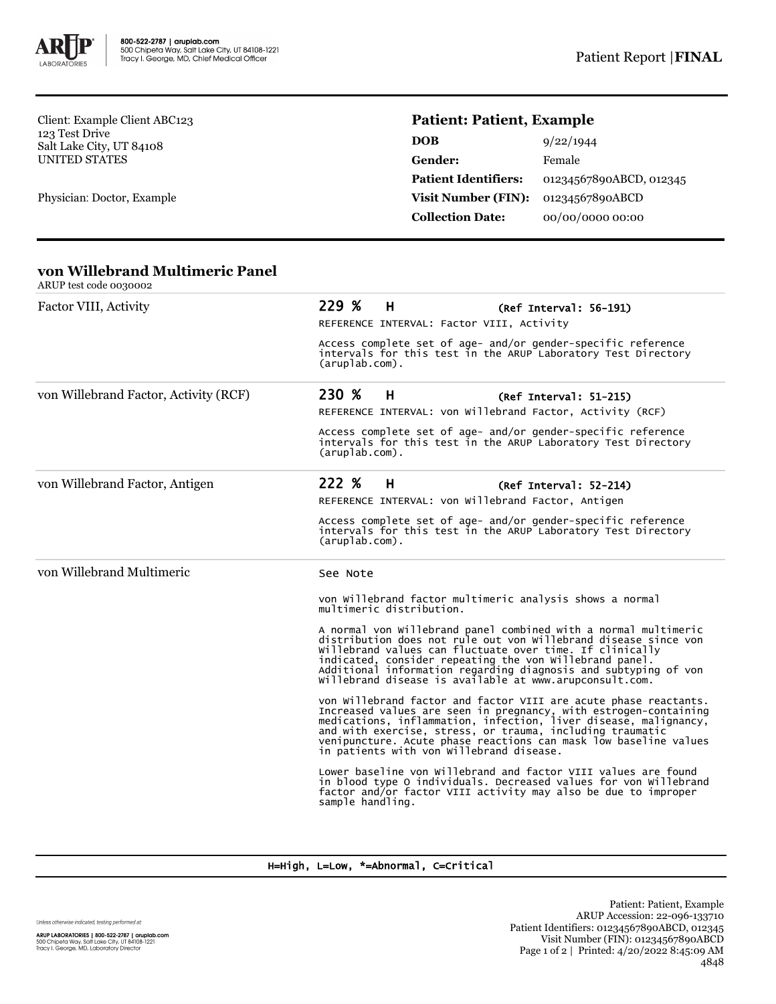

Client: Example Client ABC123 123 Test Drive Salt Lake City, UT 84108 UNITED STATES

Physician: Doctor, Example

# **Patient: Patient, Example**

| DOB                         | 9/22/1944               |  |
|-----------------------------|-------------------------|--|
| Gender:                     | Female                  |  |
| <b>Patient Identifiers:</b> | 01234567890ABCD, 012345 |  |
| <b>Visit Number (FIN):</b>  | 01234567890ABCD         |  |
| <b>Collection Date:</b>     | 00/00/0000 00:00        |  |

# **von Willebrand Multimeric Panel**

| ARUP test code 0030002                |                                                                                                                                                                                                                                                                                                                                                                                         |  |  |  |
|---------------------------------------|-----------------------------------------------------------------------------------------------------------------------------------------------------------------------------------------------------------------------------------------------------------------------------------------------------------------------------------------------------------------------------------------|--|--|--|
| Factor VIII, Activity                 | 229 % H<br>(Ref Interval: 56-191)                                                                                                                                                                                                                                                                                                                                                       |  |  |  |
|                                       | REFERENCE INTERVAL: Factor VIII, Activity                                                                                                                                                                                                                                                                                                                                               |  |  |  |
|                                       | Access complete set of age- and/or gender-specific reference<br>intervals for this test in the ARUP Laboratory Test Directory<br>$(\text{aruplab.com})$ .                                                                                                                                                                                                                               |  |  |  |
| von Willebrand Factor, Activity (RCF) | 230 %<br>H<br>(Ref Interval: 51-215)                                                                                                                                                                                                                                                                                                                                                    |  |  |  |
|                                       | REFERENCE INTERVAL: von Willebrand Factor, Activity (RCF)                                                                                                                                                                                                                                                                                                                               |  |  |  |
|                                       | Access complete set of age- and/or gender-specific reference<br>intervals for this test in the ARUP Laboratory Test Directory<br>$(\text{aruplab.com})$ .                                                                                                                                                                                                                               |  |  |  |
| von Willebrand Factor, Antigen        | 222 %<br>Н<br>$(Ref Interval: 52-214)$                                                                                                                                                                                                                                                                                                                                                  |  |  |  |
|                                       | REFERENCE INTERVAL: von Willebrand Factor, Antigen                                                                                                                                                                                                                                                                                                                                      |  |  |  |
|                                       | Access complete set of age- and/or gender-specific reference<br>intervals for this test in the ARUP Laboratory Test Directory<br>$(\text{aruplab.com})$ .                                                                                                                                                                                                                               |  |  |  |
| von Willebrand Multimeric             | See Note                                                                                                                                                                                                                                                                                                                                                                                |  |  |  |
|                                       | von Willebrand factor multimeric analysis shows a normal<br>multimeric distribution.                                                                                                                                                                                                                                                                                                    |  |  |  |
|                                       | A normal von willebrand panel combined with a normal multimeric<br>distribution does not rule out von Willebrand disease since von<br>willebrand values can fluctuate over time. If clinically<br>indicated, consider repeating the von willebrand panel.<br>Additional information regarding diagnosis and subtyping of von<br>willebrand disease is available at www.arupconsult.com. |  |  |  |
|                                       | von Willebrand factor and factor VIII are acute phase reactants.<br>Increased values are seen in pregnancy, with estrogen-containing<br>medications, inflammation, infection, liver disease, malignancy,<br>and with exercise, stress, or trauma, including traumatic<br>venipuncture. Acute phase reactions can mask low baseline values<br>in patients with von willebrand disease.   |  |  |  |
|                                       | Lower baseline von Willebrand and factor VIII values are found<br>in blood type O individuals. Decreased values for von Willebrand<br>factor and/or factor VIII activity may also be due to improper<br>sample handling.                                                                                                                                                                |  |  |  |

### H=High, L=Low, \*=Abnormal, C=Critical

Unless otherwise indicated, testing performed at: